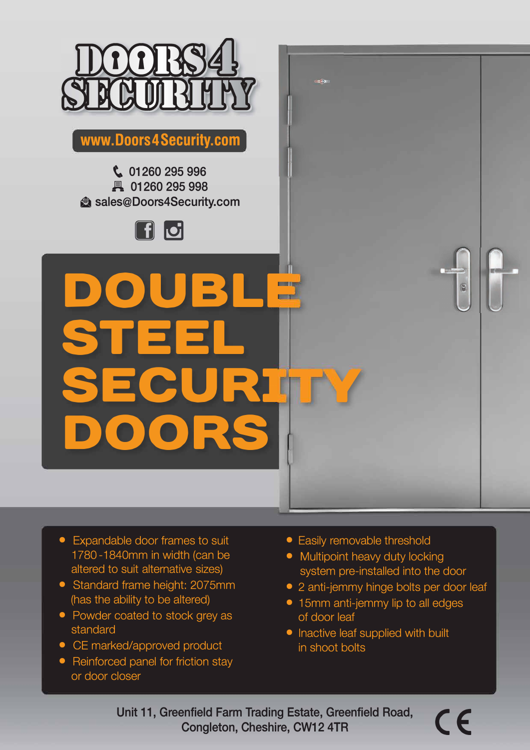

**www.Doors4Security.com** 

**� 01260 295 996 H 01260 295 998**   $\bullet$  sales@Doors4Security.com



**DOUBL STEEL SECURI DOORS** 

- Expandable door frames to suit 1780 -1840mm in width (can be altered to suit alternative sizes)
- Standard frame height: 2075mm (has the ability to be altered)
- Powder coated to stock grey as standard
- CE marked/approved product
- Reinforced panel for friction stay or door closer
- Easily removable threshold
- Multipoint heavy duty locking system pre-installed into the door
- 2 anti-jemmy hinge bolts per door leaf
- 15mm anti-jemmy lip to all edges of door leaf
- Inactive leaf supplied with built in shoot bolts

Unit 11, Greenfield Farm Trading Estate, Greenfield Road, Congleton, Cheshire, CW12 4TR

 $\overline{a}$